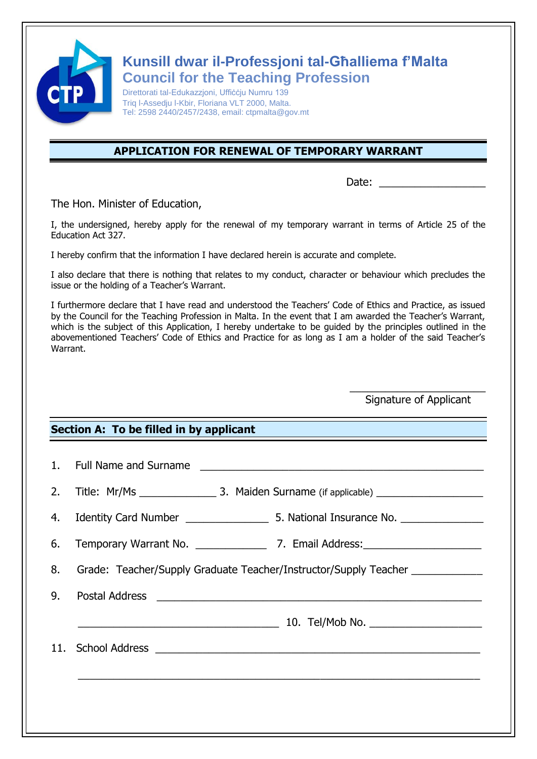

## **Kunsill dwar il-Professjoni tal-Għalliema f'Malta Council for the Teaching Profession**

Direttorati tal-Edukazzjoni, Uffiċċju Numru 139 Triq l-Assedju l-Kbir, Floriana VLT 2000, Malta. Tel: 2598 2440/2457/2438, email: ctpmalta@gov.mt

## **APPLICATION FOR RENEWAL OF TEMPORARY WARRANT**

Date:

The Hon. Minister of Education,

I, the undersigned, hereby apply for the renewal of my temporary warrant in terms of Article 25 of the Education Act 327.

I hereby confirm that the information I have declared herein is accurate and complete.

I also declare that there is nothing that relates to my conduct, character or behaviour which precludes the issue or the holding of a Teacher's Warrant.

I furthermore declare that I have read and understood the Teachers' Code of Ethics and Practice, as issued by the Council for the Teaching Profession in Malta. In the event that I am awarded the Teacher's Warrant, which is the subject of this Application, I hereby undertake to be guided by the principles outlined in the abovementioned Teachers' Code of Ethics and Practice for as long as I am a holder of the said Teacher's Warrant.

> $\overline{\phantom{a}}$  , which is a set of the set of the set of the set of the set of the set of the set of the set of the set of the set of the set of the set of the set of the set of the set of the set of the set of the set of th Signature of Applicant

## **Section A: To be filled in by applicant**

|    | 1. Full Name and Surname                                         |  |
|----|------------------------------------------------------------------|--|
| 2. |                                                                  |  |
|    |                                                                  |  |
| 6. |                                                                  |  |
| 8. | Grade: Teacher/Supply Graduate Teacher/Instructor/Supply Teacher |  |
| 9. |                                                                  |  |
|    |                                                                  |  |
|    |                                                                  |  |
|    |                                                                  |  |
|    |                                                                  |  |
|    |                                                                  |  |